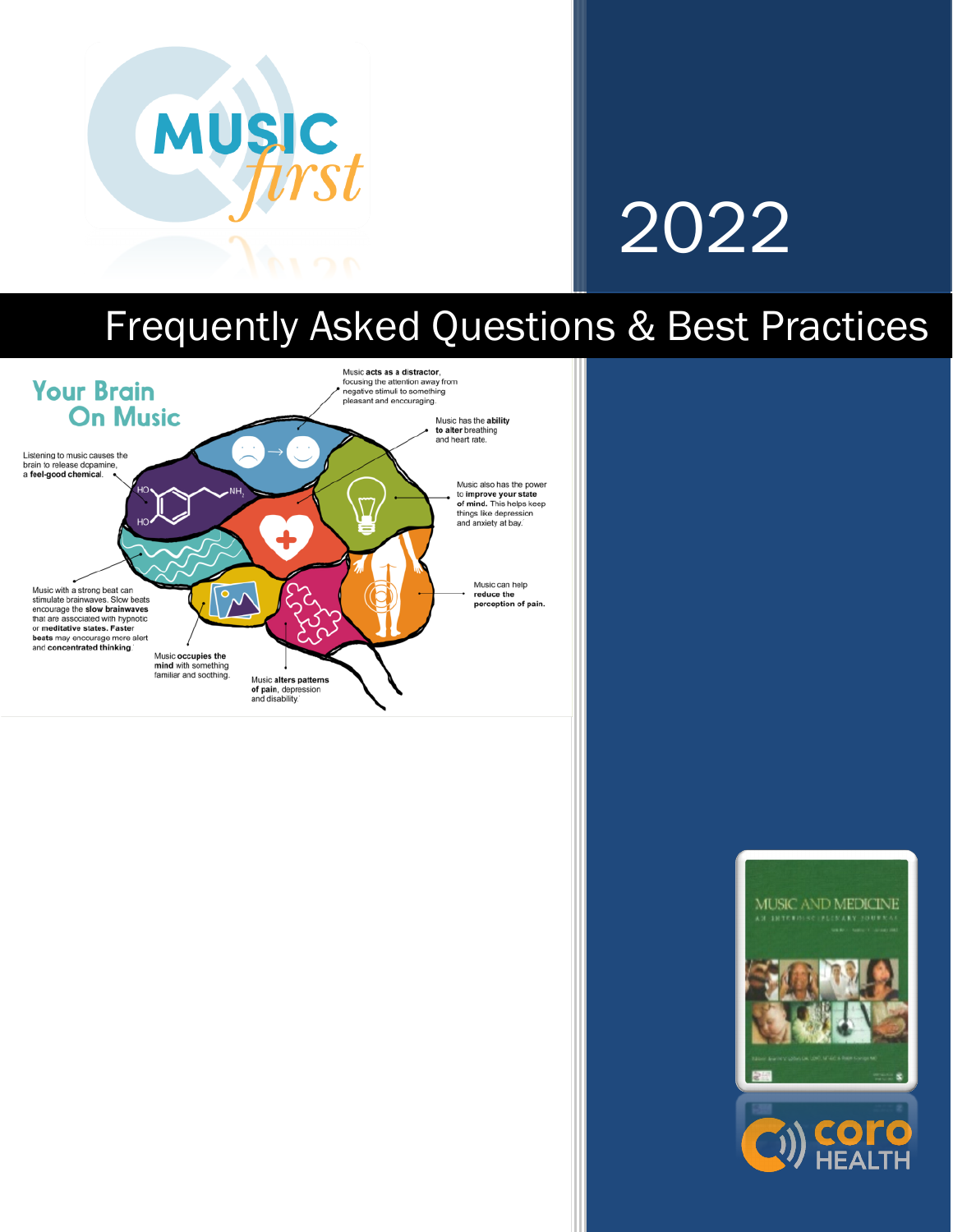

# 2022

## Frequently Asked Questions & Best Practices



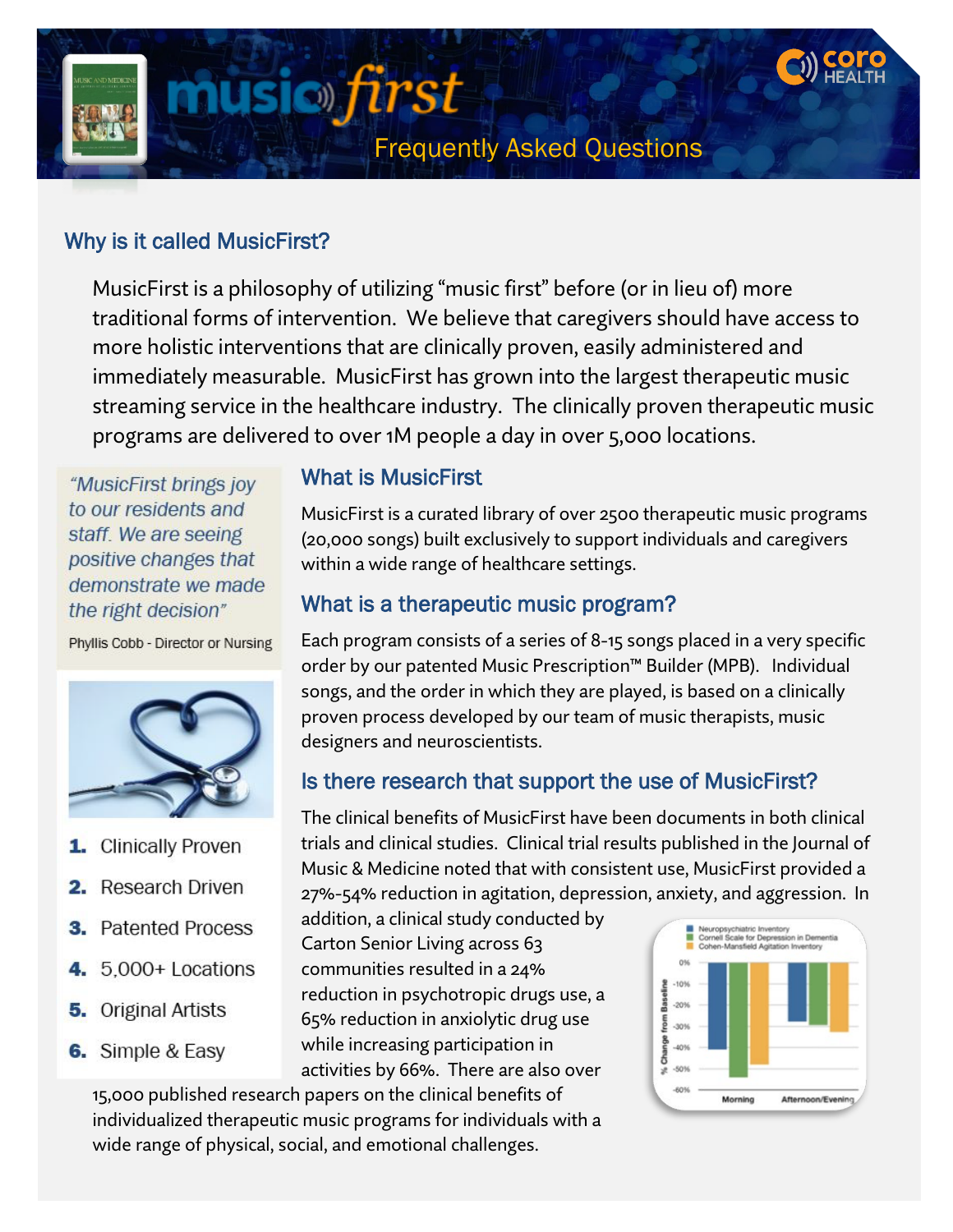

#### Why is it called MusicFirst?

MusicFirst is a philosophy of utilizing "music first" before (or in lieu of) more traditional forms of intervention. We believe that caregivers should have access to more holistic interventions that are clinically proven, easily administered and immediately measurable. MusicFirst has grown into the largest therapeutic music streaming service in the healthcare industry. The clinically proven therapeutic music programs are delivered to over 1M people a day in over 5,000 locations.

"MusicFirst brings joy to our residents and staff. We are seeing positive changes that demonstrate we made the right decision"

Phyllis Cobb - Director or Nursing



- 1. Clinically Proven
- 2. Research Driven
- **3.** Patented Process
- **4.** 5,000+ Locations
- **5.** Original Artists
- 6. Simple & Easy

#### What is MusicFirst

MusicFirst is a curated library of over 2500 therapeutic music programs (20,000 songs) built exclusively to support individuals and caregivers within a wide range of healthcare settings.

#### What is a therapeutic music program?

Each program consists of a series of 8-15 songs placed in a very specific order by our patented Music Prescription™ Builder (MPB). Individual songs, and the order in which they are played, is based on a clinically proven process developed by our team of music therapists, music designers and neuroscientists.

#### Is there research that support the use of MusicFirst?

The clinical benefits of MusicFirst have been documents in both clinical trials and clinical studies. Clinical trial results published in the Journal of Music & Medicine noted that with consistent use, MusicFirst provided a 27%-54% reduction in agitation, depression, anxiety, and aggression. In

addition, a clinical study conducted by Carton Senior Living across 63 communities resulted in a 24% reduction in psychotropic drugs use, a 65% reduction in anxiolytic drug use while increasing participation in activities by 66%. There are also over

15,000 published research papers on the clinical benefits of individualized therapeutic music programs for individuals with a wide range of physical, social, and emotional challenges.

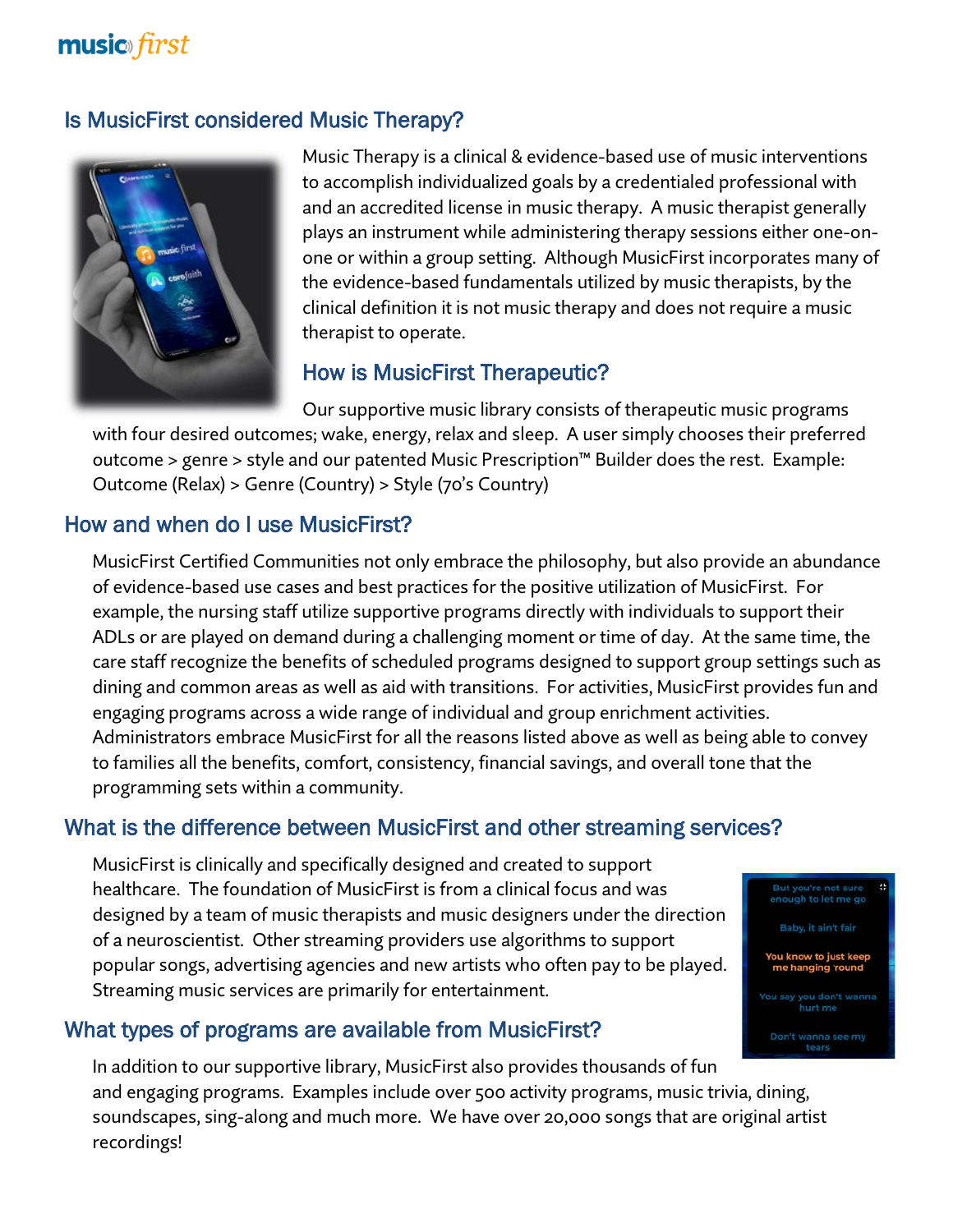### **music** first

#### Is MusicFirst considered Music Therapy?



Music Therapy is a clinical & evidence-based use of music interventions to accomplish individualized goals by a credentialed professional with and an accredited license in music therapy. A music therapist generally plays an instrument while administering therapy sessions either one-onone or within a group setting. Although MusicFirst incorporates many of the evidence-based fundamentals utilized by music therapists, by the clinical definition it is not music therapy and does not require a music therapist to operate.

#### How is MusicFirst Therapeutic?

Our supportive music library consists of therapeutic music programs with four desired outcomes; wake, energy, relax and sleep. A user simply chooses their preferred outcome > genre > style and our patented Music Prescription™ Builder does the rest. Example: Outcome (Relax) > Genre (Country) > Style (70's Country)

#### How and when do I use MusicFirst?

MusicFirst Certified Communities not only embrace the philosophy, but also provide an abundance of evidence-based use cases and best practices for the positive utilization of MusicFirst. For example, the nursing staff utilize supportive programs directly with individuals to support their ADLs or are played on demand during a challenging moment or time of day. At the same time, the care staff recognize the benefits of scheduled programs designed to support group settings such as dining and common areas as well as aid with transitions. For activities, MusicFirst provides fun and engaging programs across a wide range of individual and group enrichment activities. Administrators embrace MusicFirst for all the reasons listed above as well as being able to convey to families all the benefits, comfort, consistency, financial savings, and overall tone that the programming sets within a community.

#### What is the difference between MusicFirst and other streaming services?

MusicFirst is clinically and specifically designed and created to support healthcare. The foundation of MusicFirst is from a clinical focus and was designed by a team of music therapists and music designers under the direction of a neuroscientist. Other streaming providers use algorithms to support popular songs, advertising agencies and new artists who often pay to be played. Streaming music services are primarily for entertainment.

#### What types of programs are available from MusicFirst?

In addition to our supportive library, MusicFirst also provides thousands of fun and engaging programs. Examples include over 500 activity programs, music trivia, dining, soundscapes, sing-along and much more. We have over 20,000 songs that are original artist recordings!

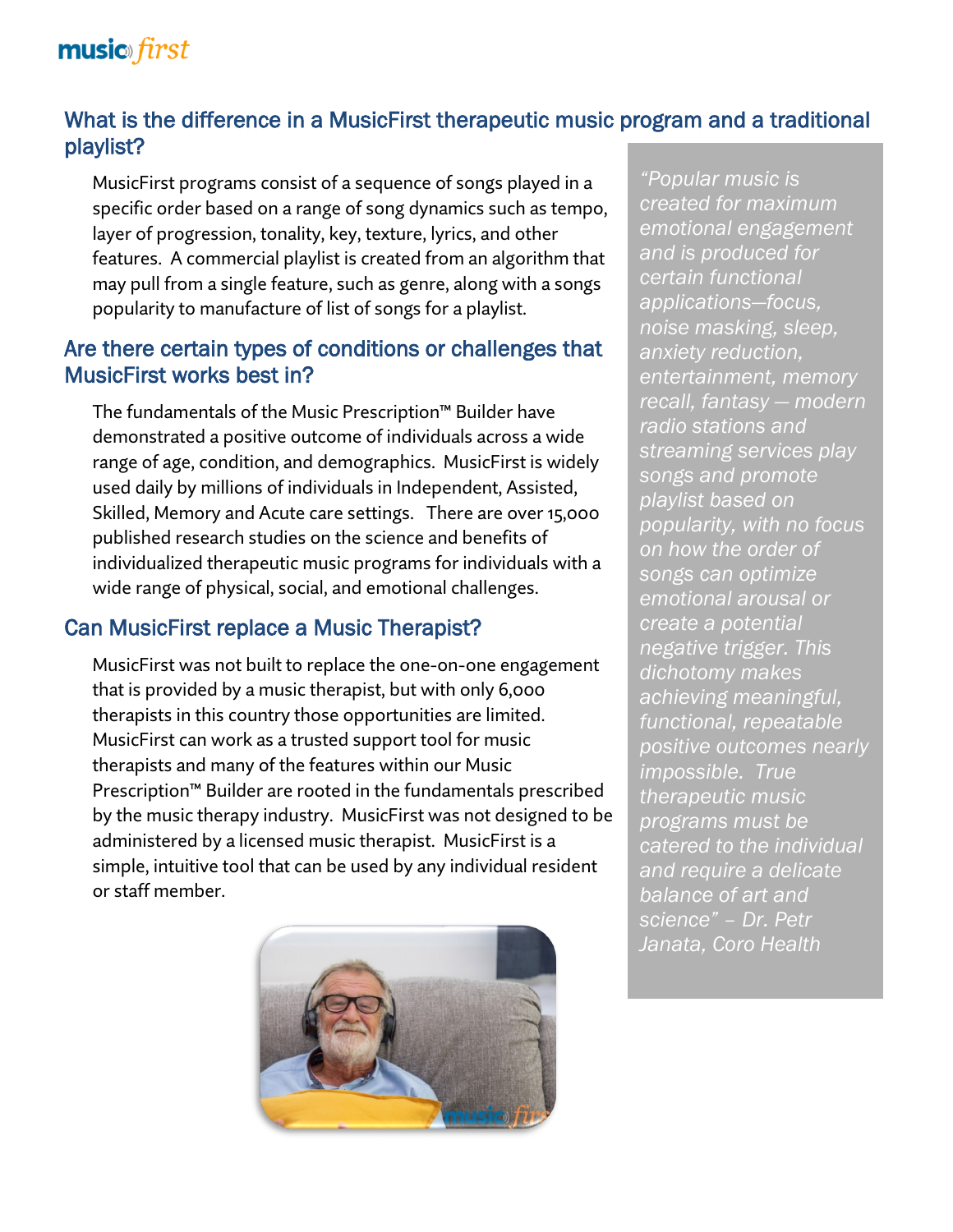## **music** first

#### What is the difference in a MusicFirst therapeutic music program and a traditional playlist?

MusicFirst programs consist of a sequence of songs played in a specific order based on a range of song dynamics such as tempo, layer of progression, tonality, key, texture, lyrics, and other features. A commercial playlist is created from an algorithm that may pull from a single feature, such as genre, along with a songs popularity to manufacture of list of songs for a playlist.

#### Are there certain types of conditions or challenges that MusicFirst works best in?

The fundamentals of the Music Prescription™ Builder have demonstrated a positive outcome of individuals across a wide range of age, condition, and demographics. MusicFirst is widely used daily by millions of individuals in Independent, Assisted, Skilled, Memory and Acute care settings. There are over 15,000 published research studies on the science and benefits of individualized therapeutic music programs for individuals with a wide range of physical, social, and emotional challenges.

#### Can MusicFirst replace a Music Therapist?

MusicFirst was not built to replace the one-on-one engagement that is provided by a music therapist, but with only 6,000 therapists in this country those opportunities are limited. MusicFirst can work as a trusted support tool for music therapists and many of the features within our Music Prescription™ Builder are rooted in the fundamentals prescribed by the music therapy industry. MusicFirst was not designed to be administered by a licensed music therapist. MusicFirst is a simple, intuitive tool that can be used by any individual resident or staff member.



*"Popular music is created for maximum emotional engagement and is produced for certain functional applications—focus, noise masking, sleep, anxiety reduction, entertainment, memory recall, fantasy — modern radio stations and streaming services play songs and promote playlist based on popularity, with no focus on how the order of songs can optimize emotional arousal or create a potential negative trigger. This dichotomy makes achieving meaningful, functional, repeatable positive outcomes nearly impossible. True therapeutic music programs must be catered to the individual and require a delicate balance of art and science" – Dr. Petr Janata, Coro Health*